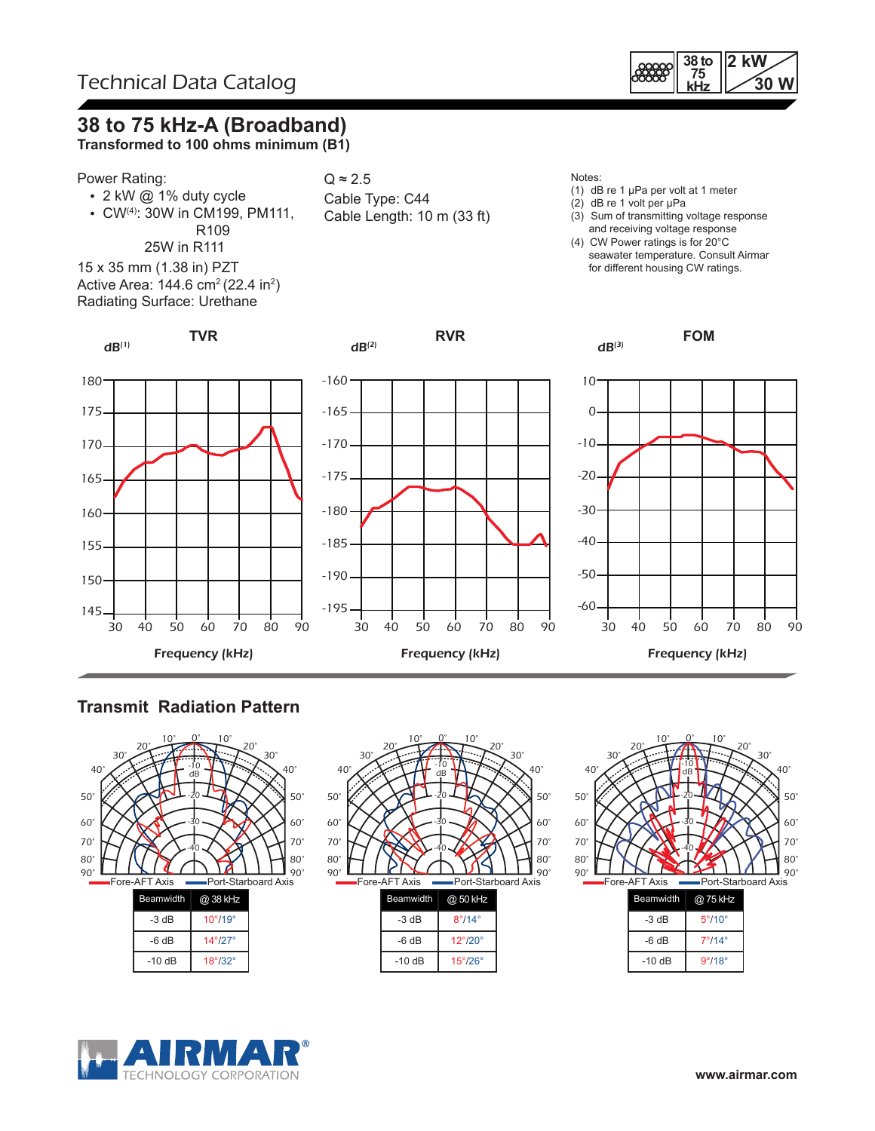

# **38 to 75 kHz-A (Broadband)**

**Transformed to 100 ohms minimum (B1)**

#### Power Rating:

 $dB^{(1)}$ 

- 2 kW @ 1% duty cycle
- CW(4): 30W in CM199, PM111, R109

**TVR**

 25W in R111 15 x 35 mm (1.38 in) PZT Active Area: 144.6 cm² (22.4 in²) Radiating Surface: Urethane



 $dB<sup>(2)</sup>$ 

- Notes:
- (1) dB re 1 µPa per volt at 1 meter
- (2) dB re 1 volt per µPa
- (3) Sum of transmitting voltage response and receiving voltage response
- (4) CW Power ratings is for 20°C seawater temperature. Consult Airmar for different housing CW ratings.

**FOM**





**RVR**



### **Transmit Radiation Pattern**





|         | W 12                    |  |  |
|---------|-------------------------|--|--|
| $-3 dB$ | $8^\circ/14^\circ$      |  |  |
| -6 dB   | $12^{\circ}/20^{\circ}$ |  |  |
| $-10dB$ | $15^{\circ}/26^{\circ}$ |  |  |



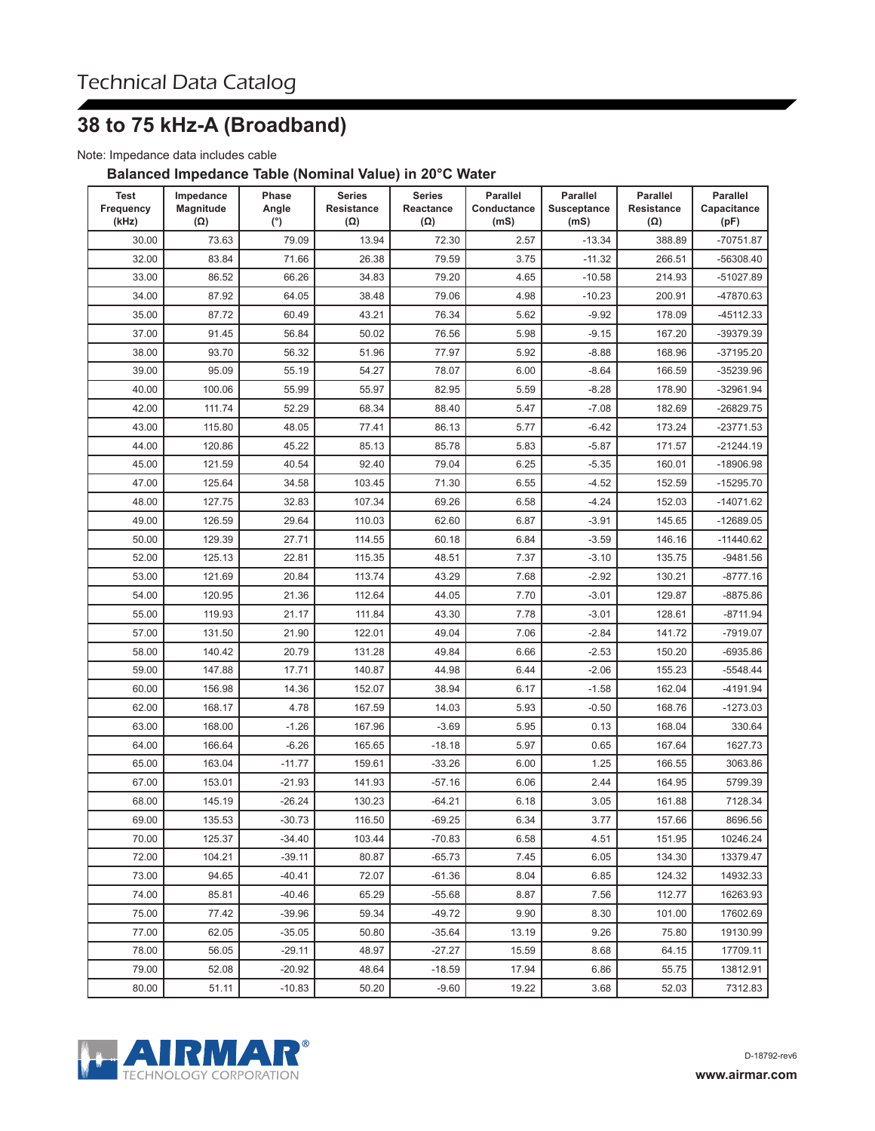## **38 to 75 kHz-A (Broadband)**

Note: Impedance data includes cable

#### **Balanced Impedance Table (Nominal Value) in 20°C Water**

| Test<br>Frequency<br>(kHz) | Impedance<br>Magnitude<br>$(\Omega)$ | Phase<br>Angle<br>(°) | <b>Series</b><br><b>Resistance</b><br>$(\Omega)$ | <b>Series</b><br>Reactance<br>$(\Omega)$ | <b>Parallel</b><br>Conductance<br>(mS) | <b>Parallel</b><br><b>Susceptance</b><br>(mS) | <b>Parallel</b><br><b>Resistance</b><br>$(\Omega)$ | <b>Parallel</b><br>Capacitance<br>(pF) |
|----------------------------|--------------------------------------|-----------------------|--------------------------------------------------|------------------------------------------|----------------------------------------|-----------------------------------------------|----------------------------------------------------|----------------------------------------|
| 30.00                      | 73.63                                | 79.09                 | 13.94                                            | 72.30                                    | 2.57                                   | $-13.34$                                      | 388.89                                             | -70751.87                              |
| 32.00                      | 83.84                                | 71.66                 | 26.38                                            | 79.59                                    | 3.75                                   | $-11.32$                                      | 266.51                                             | -56308.40                              |
| 33.00                      | 86.52                                | 66.26                 | 34.83                                            | 79.20                                    | 4.65                                   | $-10.58$                                      | 214.93                                             | -51027.89                              |
| 34.00                      | 87.92                                | 64.05                 | 38.48                                            | 79.06                                    | 4.98                                   | $-10.23$                                      | 200.91                                             | -47870.63                              |
| 35.00                      | 87.72                                | 60.49                 | 43.21                                            | 76.34                                    | 5.62                                   | $-9.92$                                       | 178.09                                             | -45112.33                              |
| 37.00                      | 91.45                                | 56.84                 | 50.02                                            | 76.56                                    | 5.98                                   | $-9.15$                                       | 167.20                                             | -39379.39                              |
| 38.00                      | 93.70                                | 56.32                 | 51.96                                            | 77.97                                    | 5.92                                   | $-8.88$                                       | 168.96                                             | -37195.20                              |
| 39.00                      | 95.09                                | 55.19                 | 54.27                                            | 78.07                                    | 6.00                                   | $-8.64$                                       | 166.59                                             | -35239.96                              |
| 40.00                      | 100.06                               | 55.99                 | 55.97                                            | 82.95                                    | 5.59                                   | $-8.28$                                       | 178.90                                             | -32961.94                              |
| 42.00                      | 111.74                               | 52.29                 | 68.34                                            | 88.40                                    | 5.47                                   | $-7.08$                                       | 182.69                                             | -26829.75                              |
| 43.00                      | 115.80                               | 48.05                 | 77.41                                            | 86.13                                    | 5.77                                   | $-6.42$                                       | 173.24                                             | $-23771.53$                            |
| 44.00                      | 120.86                               | 45.22                 | 85.13                                            | 85.78                                    | 5.83                                   | $-5.87$                                       | 171.57                                             | $-21244.19$                            |
| 45.00                      | 121.59                               | 40.54                 | 92.40                                            | 79.04                                    | 6.25                                   | $-5.35$                                       | 160.01                                             | $-18906.98$                            |
| 47.00                      | 125.64                               | 34.58                 | 103.45                                           | 71.30                                    | 6.55                                   | $-4.52$                                       | 152.59                                             | -15295.70                              |
| 48.00                      | 127.75                               | 32.83                 | 107.34                                           | 69.26                                    | 6.58                                   | $-4.24$                                       | 152.03                                             | $-14071.62$                            |
| 49.00                      | 126.59                               | 29.64                 | 110.03                                           | 62.60                                    | 6.87                                   | $-3.91$                                       | 145.65                                             | $-12689.05$                            |
| 50.00                      | 129.39                               | 27.71                 | 114.55                                           | 60.18                                    | 6.84                                   | $-3.59$                                       | 146.16                                             | $-11440.62$                            |
| 52.00                      | 125.13                               | 22.81                 | 115.35                                           | 48.51                                    | 7.37                                   | $-3.10$                                       | 135.75                                             | $-9481.56$                             |
| 53.00                      | 121.69                               | 20.84                 | 113.74                                           | 43.29                                    | 7.68                                   | $-2.92$                                       | 130.21                                             | -8777.16                               |
| 54.00                      | 120.95                               | 21.36                 | 112.64                                           | 44.05                                    | 7.70                                   | $-3.01$                                       | 129.87                                             | -8875.86                               |
| 55.00                      | 119.93                               | 21.17                 | 111.84                                           | 43.30                                    | 7.78                                   | $-3.01$                                       | 128.61                                             | $-8711.94$                             |
| 57.00                      | 131.50                               | 21.90                 | 122.01                                           | 49.04                                    | 7.06                                   | $-2.84$                                       | 141.72                                             | $-7919.07$                             |
| 58.00                      | 140.42                               | 20.79                 | 131.28                                           | 49.84                                    | 6.66                                   | $-2.53$                                       | 150.20                                             | -6935.86                               |
| 59.00                      | 147.88                               | 17.71                 | 140.87                                           | 44.98                                    | 6.44                                   | $-2.06$                                       | 155.23                                             | $-5548.44$                             |
| 60.00                      | 156.98                               | 14.36                 | 152.07                                           | 38.94                                    | 6.17                                   | $-1.58$                                       | 162.04                                             | -4191.94                               |
| 62.00                      | 168.17                               | 4.78                  | 167.59                                           | 14.03                                    | 5.93                                   | $-0.50$                                       | 168.76                                             | $-1273.03$                             |
| 63.00                      | 168.00                               | $-1.26$               | 167.96                                           | $-3.69$                                  | 5.95                                   | 0.13                                          | 168.04                                             | 330.64                                 |
| 64.00                      | 166.64                               | $-6.26$               | 165.65                                           | $-18.18$                                 | 5.97                                   | 0.65                                          | 167.64                                             | 1627.73                                |
| 65.00                      | 163.04                               | $-11.77$              | 159.61                                           | $-33.26$                                 | 6.00                                   | 1.25                                          | 166.55                                             | 3063.86                                |
| 67.00                      | 153.01                               | $-21.93$              | 141.93                                           | $-57.16$                                 | 6.06                                   | 2.44                                          | 164.95                                             | 5799.39                                |
| 68.00                      | 145.19                               | $-26.24$              | 130.23                                           | $-64.21$                                 | 6.18                                   | 3.05                                          | 161.88                                             | 7128.34                                |
| 69.00                      | 135.53                               | $-30.73$              | 116.50                                           | $-69.25$                                 | 6.34                                   | 3.77                                          | 157.66                                             | 8696.56                                |
| 70.00                      | 125.37                               | $-34.40$              | 103.44                                           | $-70.83$                                 | 6.58                                   | 4.51                                          | 151.95                                             | 10246.24                               |
| 72.00                      | 104.21                               | $-39.11$              | 80.87                                            | $-65.73$                                 | 7.45                                   | 6.05                                          | 134.30                                             | 13379.47                               |
| 73.00                      | 94.65                                | $-40.41$              | 72.07                                            | $-61.36$                                 | 8.04                                   | 6.85                                          | 124.32                                             | 14932.33                               |
| 74.00                      | 85.81                                | $-40.46$              | 65.29                                            | $-55.68$                                 | 8.87                                   | 7.56                                          | 112.77                                             | 16263.93                               |
| 75.00                      | 77.42                                | $-39.96$              | 59.34                                            | $-49.72$                                 | 9.90                                   | 8.30                                          | 101.00                                             | 17602.69                               |
| 77.00                      | 62.05                                | $-35.05$              | 50.80                                            | $-35.64$                                 | 13.19                                  | 9.26                                          | 75.80                                              | 19130.99                               |
| 78.00                      | 56.05                                | $-29.11$              | 48.97                                            | $-27.27$                                 | 15.59                                  | 8.68                                          | 64.15                                              | 17709.11                               |
| 79.00                      | 52.08                                | $-20.92$              | 48.64                                            | $-18.59$                                 | 17.94                                  | 6.86                                          | 55.75                                              | 13812.91                               |
| 80.00                      | 51.11                                | $-10.83$              | 50.20                                            | $-9.60$                                  | 19.22                                  | 3.68                                          | 52.03                                              | 7312.83                                |



D-18792-rev6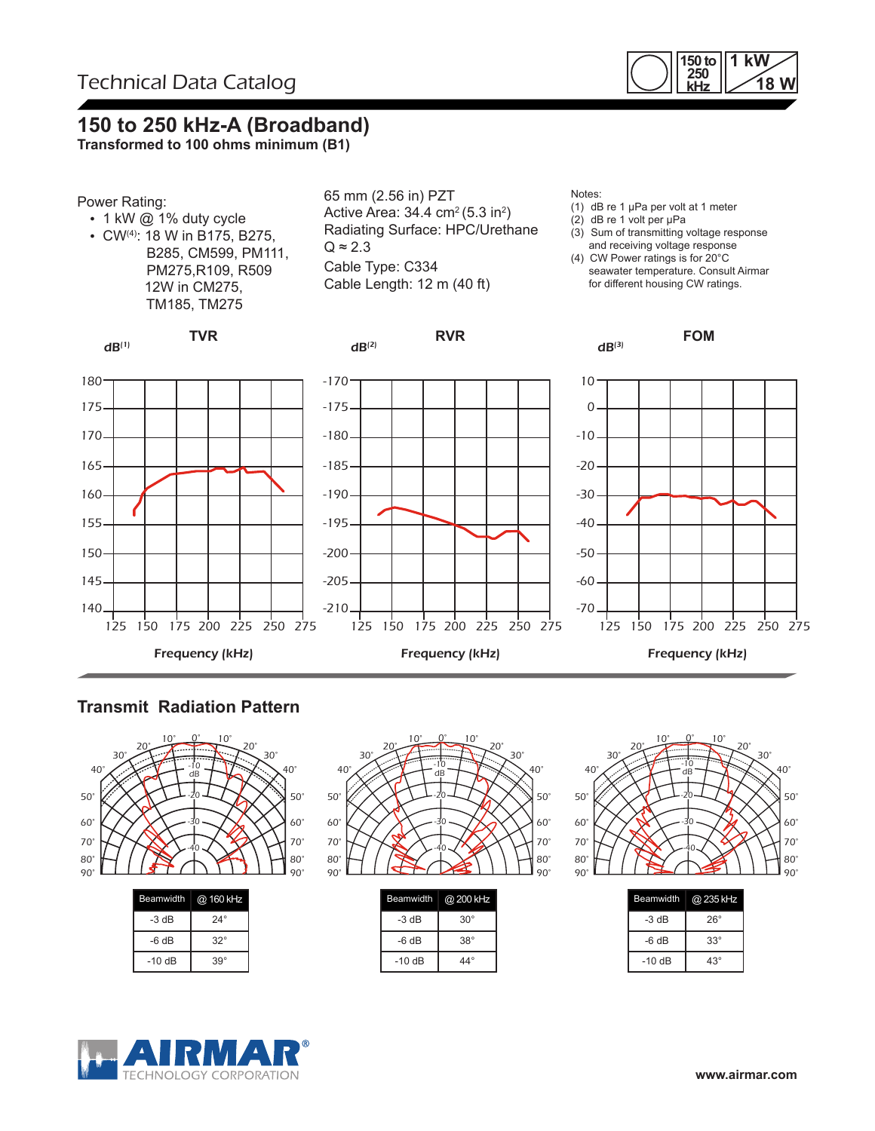

### **150 to 250 kHz-A (Broadband)**

**Transformed to 100 ohms minimum (B1)**



### **Transmit Radiation Pattern**



| $-3 dB$ | $24^\circ$ |  |
|---------|------------|--|
| $-6 dB$ | $32^\circ$ |  |
| $-10dB$ | $39^\circ$ |  |



| <b>Beamwidth</b> | @ 200 kHz    |
|------------------|--------------|
| -3 dB            | $30^{\circ}$ |
| -6 dB            | $38^\circ$   |
| $-10dB$          | $44^{\circ}$ |



| Beamwidth | @ 235 kHz    |
|-----------|--------------|
| -3 dB     | $26^{\circ}$ |
| -6 dB     | $33^\circ$   |
| $-10dB$   | $43^\circ$   |